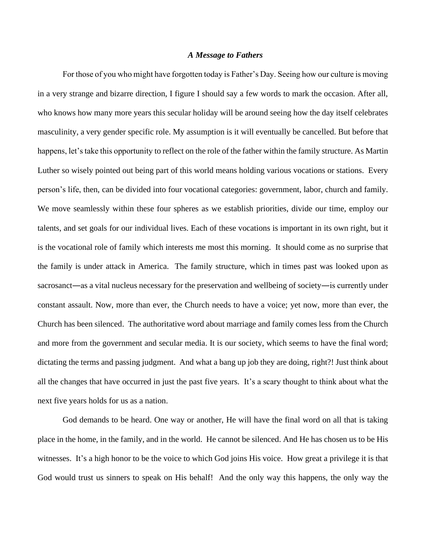## *A Message to Fathers*

For those of you who might have forgotten today is Father's Day. Seeing how our culture is moving in a very strange and bizarre direction, I figure I should say a few words to mark the occasion. After all, who knows how many more years this secular holiday will be around seeing how the day itself celebrates masculinity, a very gender specific role. My assumption is it will eventually be cancelled. But before that happens, let's take this opportunity to reflect on the role of the father within the family structure. As Martin Luther so wisely pointed out being part of this world means holding various vocations or stations. Every person's life, then, can be divided into four vocational categories: government, labor, church and family. We move seamlessly within these four spheres as we establish priorities, divide our time, employ our talents, and set goals for our individual lives. Each of these vocations is important in its own right, but it is the vocational role of family which interests me most this morning. It should come as no surprise that the family is under attack in America. The family structure, which in times past was looked upon as sacrosanct—as a vital nucleus necessary for the preservation and wellbeing of society—is currently under constant assault. Now, more than ever, the Church needs to have a voice; yet now, more than ever, the Church has been silenced. The authoritative word about marriage and family comes less from the Church and more from the government and secular media. It is our society, which seems to have the final word; dictating the terms and passing judgment. And what a bang up job they are doing, right?! Just think about all the changes that have occurred in just the past five years. It's a scary thought to think about what the next five years holds for us as a nation.

God demands to be heard. One way or another, He will have the final word on all that is taking place in the home, in the family, and in the world. He cannot be silenced. And He has chosen us to be His witnesses. It's a high honor to be the voice to which God joins His voice. How great a privilege it is that God would trust us sinners to speak on His behalf! And the only way this happens, the only way the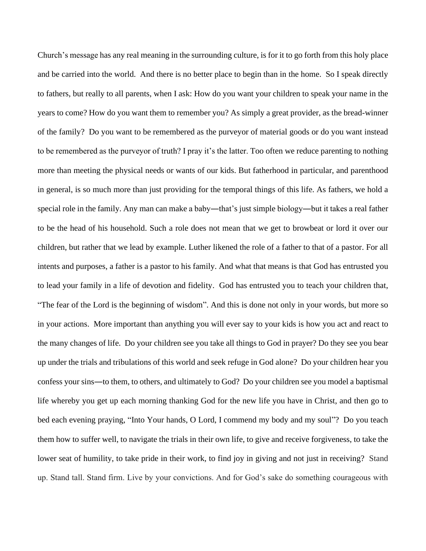Church's message has any real meaning in the surrounding culture, is for it to go forth from this holy place and be carried into the world. And there is no better place to begin than in the home. So I speak directly to fathers, but really to all parents, when I ask: How do you want your children to speak your name in the years to come? How do you want them to remember you? As simply a great provider, as the bread-winner of the family? Do you want to be remembered as the purveyor of material goods or do you want instead to be remembered as the purveyor of truth? I pray it's the latter. Too often we reduce parenting to nothing more than meeting the physical needs or wants of our kids. But fatherhood in particular, and parenthood in general, is so much more than just providing for the temporal things of this life. As fathers, we hold a special role in the family. Any man can make a baby—that's just simple biology—but it takes a real father to be the head of his household. Such a role does not mean that we get to browbeat or lord it over our children, but rather that we lead by example. Luther likened the role of a father to that of a pastor. For all intents and purposes, a father is a pastor to his family. And what that means is that God has entrusted you to lead your family in a life of devotion and fidelity. God has entrusted you to teach your children that, "The fear of the Lord is the beginning of wisdom". And this is done not only in your words, but more so in your actions. More important than anything you will ever say to your kids is how you act and react to the many changes of life. Do your children see you take all things to God in prayer? Do they see you bear up under the trials and tribulations of this world and seek refuge in God alone? Do your children hear you confess your sins―to them, to others, and ultimately to God? Do your children see you model a baptismal life whereby you get up each morning thanking God for the new life you have in Christ, and then go to bed each evening praying, "Into Your hands, O Lord, I commend my body and my soul"? Do you teach them how to suffer well, to navigate the trials in their own life, to give and receive forgiveness, to take the lower seat of humility, to take pride in their work, to find joy in giving and not just in receiving? Stand up. Stand tall. Stand firm. Live by your convictions. And for God's sake do something courageous with